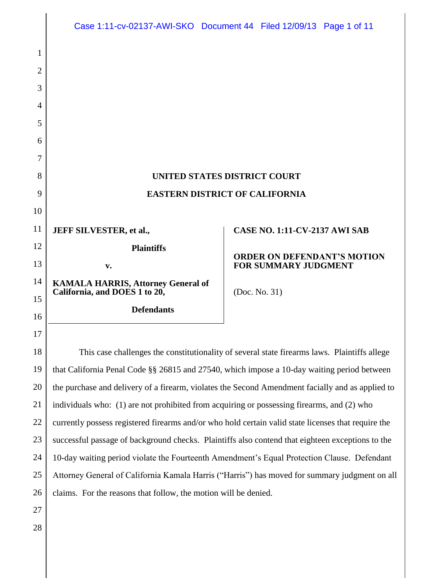|    | Case 1:11-cv-02137-AWI-SKO Document 44 Filed 12/09/13 Page 1 of 11                                  |  |                                      |                                    |  |
|----|-----------------------------------------------------------------------------------------------------|--|--------------------------------------|------------------------------------|--|
| 1  |                                                                                                     |  |                                      |                                    |  |
| 2  |                                                                                                     |  |                                      |                                    |  |
| 3  |                                                                                                     |  |                                      |                                    |  |
| 4  |                                                                                                     |  |                                      |                                    |  |
| 5  |                                                                                                     |  |                                      |                                    |  |
| 6  |                                                                                                     |  |                                      |                                    |  |
| 7  |                                                                                                     |  |                                      |                                    |  |
| 8  | <b>UNITED STATES DISTRICT COURT</b>                                                                 |  |                                      |                                    |  |
| 9  | <b>EASTERN DISTRICT OF CALIFORNIA</b>                                                               |  |                                      |                                    |  |
| 10 |                                                                                                     |  |                                      |                                    |  |
| 11 | <b>JEFF SILVESTER, et al.,</b>                                                                      |  | <b>CASE NO. 1:11-CV-2137 AWI SAB</b> |                                    |  |
| 12 | <b>Plaintiffs</b>                                                                                   |  |                                      |                                    |  |
| 13 | v.                                                                                                  |  | <b>FOR SUMMARY JUDGMENT</b>          | <b>ORDER ON DEFENDANT'S MOTION</b> |  |
| 14 | <b>KAMALA HARRIS, Attorney General of</b><br>California, and DOES 1 to 20,                          |  |                                      |                                    |  |
| 15 | <b>Defendants</b>                                                                                   |  | (Doc. No. 31)                        |                                    |  |
| 16 |                                                                                                     |  |                                      |                                    |  |
| 17 |                                                                                                     |  |                                      |                                    |  |
| 18 | This case challenges the constitutionality of several state firearms laws. Plaintiffs allege        |  |                                      |                                    |  |
| 19 | that California Penal Code §§ 26815 and 27540, which impose a 10-day waiting period between         |  |                                      |                                    |  |
| 20 | the purchase and delivery of a firearm, violates the Second Amendment facially and as applied to    |  |                                      |                                    |  |
| 21 | individuals who: (1) are not prohibited from acquiring or possessing firearms, and (2) who          |  |                                      |                                    |  |
| 22 | currently possess registered firearms and/or who hold certain valid state licenses that require the |  |                                      |                                    |  |
| 23 | successful passage of background checks. Plaintiffs also contend that eighteen exceptions to the    |  |                                      |                                    |  |
| 24 | 10-day waiting period violate the Fourteenth Amendment's Equal Protection Clause. Defendant         |  |                                      |                                    |  |
| 25 | Attorney General of California Kamala Harris ("Harris") has moved for summary judgment on all       |  |                                      |                                    |  |
| 26 | claims. For the reasons that follow, the motion will be denied.                                     |  |                                      |                                    |  |
| 27 |                                                                                                     |  |                                      |                                    |  |
| 28 |                                                                                                     |  |                                      |                                    |  |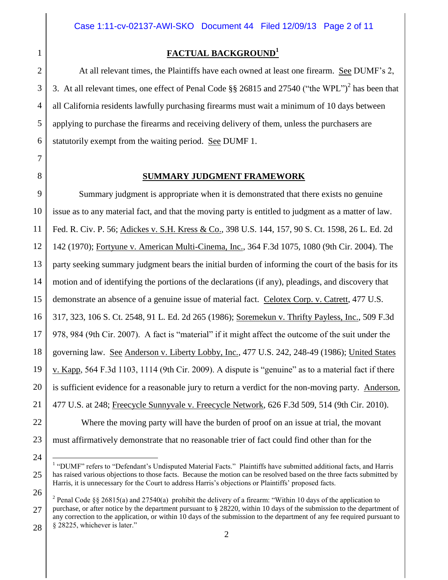**FACTUAL BACKGROUND<sup>1</sup>**

3. At all relevant times, one effect of Penal Code  $\S\S 26815$  and 27540 ("the WPL")<sup>2</sup> has been that

all California residents lawfully purchasing firearms must wait a minimum of 10 days between

applying to purchase the firearms and receiving delivery of them, unless the purchasers are

statutorily exempt from the waiting period. See DUMF 1.

At all relevant times, the Plaintiffs have each owned at least one firearm. See DUMF's 2,

1

7 8

6

# **SUMMARY JUDGMENT FRAMEWORK**

9 10 11 12 13 14 15 16 17 18 19 20 21 22 23 Summary judgment is appropriate when it is demonstrated that there exists no genuine issue as to any material fact, and that the moving party is entitled to judgment as a matter of law. Fed. R. Civ. P. 56; Adickes v. S.H. Kress & Co., 398 U.S. 144, 157, 90 S. Ct. 1598, 26 L. Ed. 2d 142 (1970); Fortyune v. American Multi-Cinema, Inc., 364 F.3d 1075, 1080 (9th Cir. 2004). The party seeking summary judgment bears the initial burden of informing the court of the basis for its motion and of identifying the portions of the declarations (if any), pleadings, and discovery that demonstrate an absence of a genuine issue of material fact. Celotex Corp. v. Catrett, 477 U.S. 317, 323, 106 S. Ct. 2548, 91 L. Ed. 2d 265 (1986); Soremekun v. Thrifty Payless, Inc., 509 F.3d 978, 984 (9th Cir. 2007). A fact is "material" if it might affect the outcome of the suit under the governing law. See Anderson v. Liberty Lobby, Inc., 477 U.S. 242, 248-49 (1986); United States v. Kapp, 564 F.3d 1103, 1114 (9th Cir. 2009). A dispute is "genuine" as to a material fact if there is sufficient evidence for a reasonable jury to return a verdict for the non-moving party. Anderson, 477 U.S. at 248; Freecycle Sunnyvale v. Freecycle Network, 626 F.3d 509, 514 (9th Cir. 2010). Where the moving party will have the burden of proof on an issue at trial, the movant must affirmatively demonstrate that no reasonable trier of fact could find other than for the

24

 $\overline{a}$ 

26

<sup>&</sup>lt;sup>1</sup> "DUMF" refers to "Defendant's Undisputed Material Facts." Plaintiffs have submitted additional facts, and Harris has raised various objections to those facts. Because the motion can be resolved based on the three facts submitted by Harris, it is unnecessary for the Court to address Harris's objections or Plaintiffs' proposed facts.

<sup>27</sup> 28 <sup>2</sup> Penal Code §§ 26815(a) and 27540(a) prohibit the delivery of a firearm: "Within 10 days of the application to purchase, or after notice by the department pursuant to § 28220, within 10 days of the submission to the department of any correction to the application, or within 10 days of the submission to the department of any fee required pursuant to § 28225, whichever is later."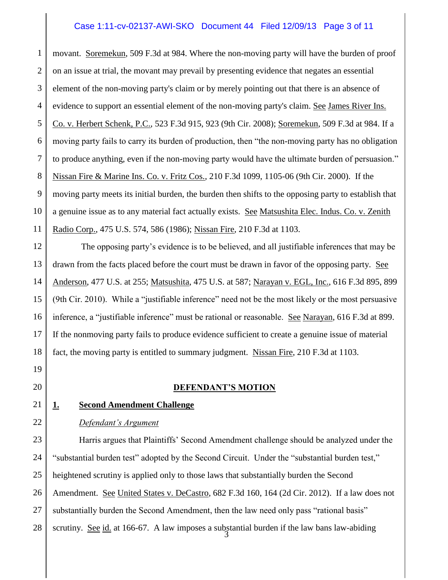## Case 1:11-cv-02137-AWI-SKO Document 44 Filed 12/09/13 Page 3 of 11

1 2 3 4 5 6 7 8 9 10 11 movant. Soremekun, 509 F.3d at 984. Where the non-moving party will have the burden of proof on an issue at trial, the movant may prevail by presenting evidence that negates an essential element of the non-moving party's claim or by merely pointing out that there is an absence of evidence to support an essential element of the non-moving party's claim. See James River Ins. Co. v. Herbert Schenk, P.C., 523 F.3d 915, 923 (9th Cir. 2008); Soremekun, 509 F.3d at 984. If a moving party fails to carry its burden of production, then "the non-moving party has no obligation to produce anything, even if the non-moving party would have the ultimate burden of persuasion." Nissan Fire & Marine Ins. Co. v. Fritz Cos., 210 F.3d 1099, 1105-06 (9th Cir. 2000). If the moving party meets its initial burden, the burden then shifts to the opposing party to establish that a genuine issue as to any material fact actually exists. See Matsushita Elec. Indus. Co. v. Zenith Radio Corp., 475 U.S. 574, 586 (1986); Nissan Fire, 210 F.3d at 1103.

12 13 14 15 16 17 18 The opposing party's evidence is to be believed, and all justifiable inferences that may be drawn from the facts placed before the court must be drawn in favor of the opposing party. See Anderson, 477 U.S. at 255; Matsushita, 475 U.S. at 587; Narayan v. EGL, Inc., 616 F.3d 895, 899 (9th Cir. 2010). While a "justifiable inference" need not be the most likely or the most persuasive inference, a "justifiable inference" must be rational or reasonable. See Narayan, 616 F.3d at 899. If the nonmoving party fails to produce evidence sufficient to create a genuine issue of material fact, the moving party is entitled to summary judgment. Nissan Fire, 210 F.3d at 1103.

19 20

**DEFENDANT'S MOTION**

## 21

22

# **1. Second Amendment Challenge**

## *Defendant's Argument*

23 24 25 26 27 28 3 Harris argues that Plaintiffs' Second Amendment challenge should be analyzed under the "substantial burden test" adopted by the Second Circuit. Under the "substantial burden test," heightened scrutiny is applied only to those laws that substantially burden the Second Amendment. <u>See United States v. DeCastro</u>, 682 F.3d 160, 164 (2d Cir. 2012). If a law does not substantially burden the Second Amendment, then the law need only pass "rational basis" scrutiny. See id. at 166-67. A law imposes a substantial burden if the law bans law-abiding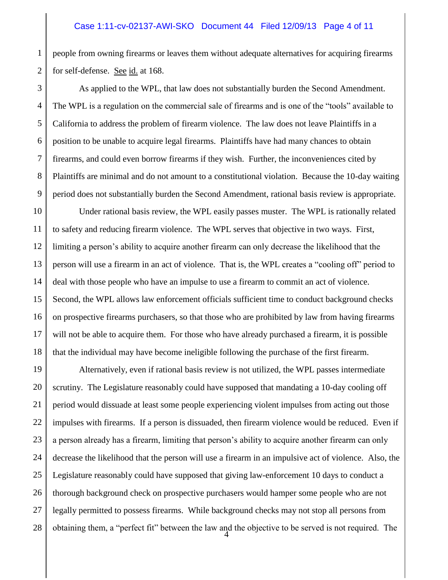#### Case 1:11-cv-02137-AWI-SKO Document 44 Filed 12/09/13 Page 4 of 11

1 2 people from owning firearms or leaves them without adequate alternatives for acquiring firearms for self-defense. See id. at 168.

3 4 5 6 7 8 9 As applied to the WPL, that law does not substantially burden the Second Amendment. The WPL is a regulation on the commercial sale of firearms and is one of the "tools" available to California to address the problem of firearm violence. The law does not leave Plaintiffs in a position to be unable to acquire legal firearms. Plaintiffs have had many chances to obtain firearms, and could even borrow firearms if they wish. Further, the inconveniences cited by Plaintiffs are minimal and do not amount to a constitutional violation. Because the 10-day waiting period does not substantially burden the Second Amendment, rational basis review is appropriate.

10 11 12 13 14 15 16 17 18 Under rational basis review, the WPL easily passes muster. The WPL is rationally related to safety and reducing firearm violence. The WPL serves that objective in two ways. First, limiting a person's ability to acquire another firearm can only decrease the likelihood that the person will use a firearm in an act of violence. That is, the WPL creates a "cooling off" period to deal with those people who have an impulse to use a firearm to commit an act of violence. Second, the WPL allows law enforcement officials sufficient time to conduct background checks on prospective firearms purchasers, so that those who are prohibited by law from having firearms will not be able to acquire them. For those who have already purchased a firearm, it is possible that the individual may have become ineligible following the purchase of the first firearm.

19 20 21 22 23 24 25 26 27 28 4 Alternatively, even if rational basis review is not utilized, the WPL passes intermediate scrutiny. The Legislature reasonably could have supposed that mandating a 10-day cooling off period would dissuade at least some people experiencing violent impulses from acting out those impulses with firearms. If a person is dissuaded, then firearm violence would be reduced. Even if a person already has a firearm, limiting that person's ability to acquire another firearm can only decrease the likelihood that the person will use a firearm in an impulsive act of violence. Also, the Legislature reasonably could have supposed that giving law-enforcement 10 days to conduct a thorough background check on prospective purchasers would hamper some people who are not legally permitted to possess firearms. While background checks may not stop all persons from obtaining them, a "perfect fit" between the law and the objective to be served is not required. The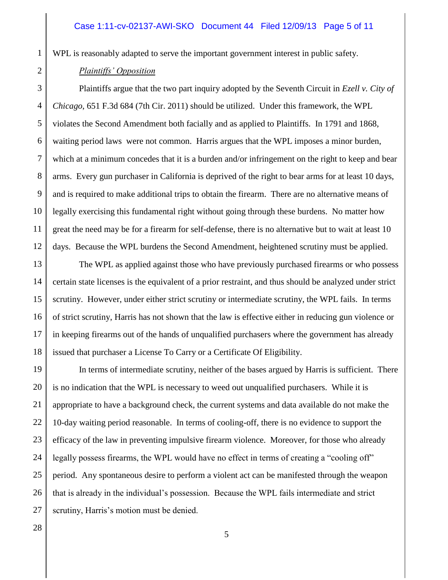#### Case 1:11-cv-02137-AWI-SKO Document 44 Filed 12/09/13 Page 5 of 11

WPL is reasonably adapted to serve the important government interest in public safety.

#### *Plaintiffs' Opposition*

1

2

3 4 5 6 7 8 9 10 11 12 Plaintiffs argue that the two part inquiry adopted by the Seventh Circuit in *Ezell v. City of Chicago*, 651 F.3d 684 (7th Cir. 2011) should be utilized. Under this framework, the WPL violates the Second Amendment both facially and as applied to Plaintiffs. In 1791 and 1868, waiting period laws were not common. Harris argues that the WPL imposes a minor burden, which at a minimum concedes that it is a burden and/or infringement on the right to keep and bear arms. Every gun purchaser in California is deprived of the right to bear arms for at least 10 days, and is required to make additional trips to obtain the firearm. There are no alternative means of legally exercising this fundamental right without going through these burdens. No matter how great the need may be for a firearm for self-defense, there is no alternative but to wait at least 10 days. Because the WPL burdens the Second Amendment, heightened scrutiny must be applied.

13 14 15 16 17 18 The WPL as applied against those who have previously purchased firearms or who possess certain state licenses is the equivalent of a prior restraint, and thus should be analyzed under strict scrutiny. However, under either strict scrutiny or intermediate scrutiny, the WPL fails. In terms of strict scrutiny, Harris has not shown that the law is effective either in reducing gun violence or in keeping firearms out of the hands of unqualified purchasers where the government has already issued that purchaser a License To Carry or a Certificate Of Eligibility.

19 20 21 22 23 24 25 26 27 In terms of intermediate scrutiny, neither of the bases argued by Harris is sufficient. There is no indication that the WPL is necessary to weed out unqualified purchasers. While it is appropriate to have a background check, the current systems and data available do not make the 10-day waiting period reasonable. In terms of cooling-off, there is no evidence to support the efficacy of the law in preventing impulsive firearm violence. Moreover, for those who already legally possess firearms, the WPL would have no effect in terms of creating a "cooling off" period. Any spontaneous desire to perform a violent act can be manifested through the weapon that is already in the individual's possession. Because the WPL fails intermediate and strict scrutiny, Harris's motion must be denied.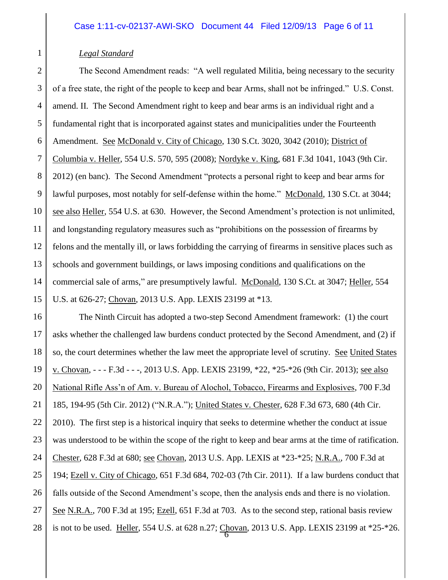### *Legal Standard*

2 3 4 5 6 7 8 9 10 11 12 13 14 15 The Second Amendment reads: "A well regulated Militia, being necessary to the security of a free state, the right of the people to keep and bear Arms, shall not be infringed." U.S. Const. amend. II. The Second Amendment right to keep and bear arms is an individual right and a fundamental right that is incorporated against states and municipalities under the Fourteenth Amendment. See McDonald v. City of Chicago, 130 S.Ct. 3020, 3042 (2010); District of Columbia v. Heller, 554 U.S. 570, 595 (2008); Nordyke v. King, 681 F.3d 1041, 1043 (9th Cir. 2012) (en banc). The Second Amendment "protects a personal right to keep and bear arms for lawful purposes, most notably for self-defense within the home." McDonald, 130 S.Ct. at 3044; see also Heller, 554 U.S. at 630. However, the Second Amendment's protection is not unlimited, and longstanding regulatory measures such as "prohibitions on the possession of firearms by felons and the mentally ill, or laws forbidding the carrying of firearms in sensitive places such as schools and government buildings, or laws imposing conditions and qualifications on the commercial sale of arms," are presumptively lawful. McDonald, 130 S.Ct. at 3047; Heller, 554 U.S. at 626-27; Chovan, 2013 U.S. App. LEXIS 23199 at \*13.

16 17 18 19 20 21 22 23 24 25 26 27 28 6 The Ninth Circuit has adopted a two-step Second Amendment framework: (1) the court asks whether the challenged law burdens conduct protected by the Second Amendment, and (2) if so, the court determines whether the law meet the appropriate level of scrutiny. See United States v. Chovan, - - - F.3d - - -, 2013 U.S. App. LEXIS 23199, \*22, \*25-\*26 (9th Cir. 2013); see also National Rifle Ass'n of Am. v. Bureau of Alochol, Tobacco, Firearms and Explosives, 700 F.3d 185, 194-95 (5th Cir. 2012) ("N.R.A."); United States v. Chester, 628 F.3d 673, 680 (4th Cir. 2010). The first step is a historical inquiry that seeks to determine whether the conduct at issue was understood to be within the scope of the right to keep and bear arms at the time of ratification. Chester, 628 F.3d at 680; see Chovan, 2013 U.S. App. LEXIS at \*23-\*25; N.R.A., 700 F.3d at 194; Ezell v. City of Chicago, 651 F.3d 684, 702-03 (7th Cir. 2011). If a law burdens conduct that falls outside of the Second Amendment's scope, then the analysis ends and there is no violation. See N.R.A., 700 F.3d at 195; Ezell, 651 F.3d at 703. As to the second step, rational basis review is not to be used. Heller, 554 U.S. at 628 n.27; Chovan, 2013 U.S. App. LEXIS 23199 at \*25-\*26.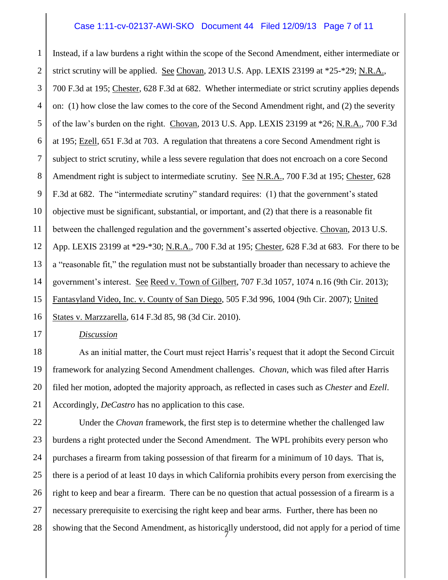#### Case 1:11-cv-02137-AWI-SKO Document 44 Filed 12/09/13 Page 7 of 11

1 2 3 4 5 6 7 8 9 10 11 12 13 14 15 16 Instead, if a law burdens a right within the scope of the Second Amendment, either intermediate or strict scrutiny will be applied. See Chovan, 2013 U.S. App. LEXIS 23199 at \*25-\*29; N.R.A., 700 F.3d at 195; Chester, 628 F.3d at 682. Whether intermediate or strict scrutiny applies depends on: (1) how close the law comes to the core of the Second Amendment right, and (2) the severity of the law's burden on the right. Chovan, 2013 U.S. App. LEXIS 23199 at \*26; N.R.A., 700 F.3d at 195; Ezell, 651 F.3d at 703. A regulation that threatens a core Second Amendment right is subject to strict scrutiny, while a less severe regulation that does not encroach on a core Second Amendment right is subject to intermediate scrutiny. See N.R.A., 700 F.3d at 195; Chester, 628 F.3d at 682. The "intermediate scrutiny" standard requires: (1) that the government's stated objective must be significant, substantial, or important, and (2) that there is a reasonable fit between the challenged regulation and the government's asserted objective. Chovan, 2013 U.S. App. LEXIS 23199 at \*29-\*30; N.R.A., 700 F.3d at 195; Chester, 628 F.3d at 683. For there to be a "reasonable fit," the regulation must not be substantially broader than necessary to achieve the government's interest. See Reed v. Town of Gilbert, 707 F.3d 1057, 1074 n.16 (9th Cir. 2013); Fantasyland Video, Inc. v. County of San Diego, 505 F.3d 996, 1004 (9th Cir. 2007); United States v. Marzzarella, 614 F.3d 85, 98 (3d Cir. 2010).

*Discussion*

17

18 19 20 21 As an initial matter, the Court must reject Harris's request that it adopt the Second Circuit framework for analyzing Second Amendment challenges. *Chovan*, which was filed after Harris filed her motion, adopted the majority approach, as reflected in cases such as *Chester* and *Ezell*. Accordingly, *DeCastro* has no application to this case.

22 23 24 25 26 27 28 7 Under the *Chovan* framework, the first step is to determine whether the challenged law burdens a right protected under the Second Amendment. The WPL prohibits every person who purchases a firearm from taking possession of that firearm for a minimum of 10 days. That is, there is a period of at least 10 days in which California prohibits every person from exercising the right to keep and bear a firearm. There can be no question that actual possession of a firearm is a necessary prerequisite to exercising the right keep and bear arms. Further, there has been no showing that the Second Amendment, as historically understood, did not apply for a period of time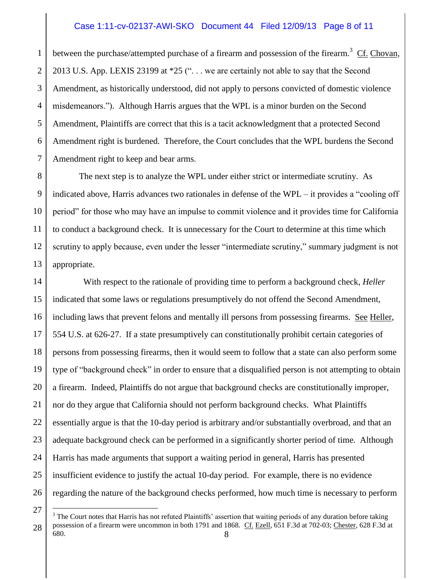### Case 1:11-cv-02137-AWI-SKO Document 44 Filed 12/09/13 Page 8 of 11

1 2 3 4 5 6 7 between the purchase/attempted purchase of a firearm and possession of the firearm.<sup>3</sup>  $Cf$ . Chovan, 2013 U.S. App. LEXIS 23199 at \*25 (". . . we are certainly not able to say that the Second Amendment, as historically understood, did not apply to persons convicted of domestic violence misdemeanors."). Although Harris argues that the WPL is a minor burden on the Second Amendment, Plaintiffs are correct that this is a tacit acknowledgment that a protected Second Amendment right is burdened. Therefore, the Court concludes that the WPL burdens the Second Amendment right to keep and bear arms.

8 9 10 11 12 13 The next step is to analyze the WPL under either strict or intermediate scrutiny. As indicated above, Harris advances two rationales in defense of the WPL – it provides a "cooling off period" for those who may have an impulse to commit violence and it provides time for California to conduct a background check. It is unnecessary for the Court to determine at this time which scrutiny to apply because, even under the lesser "intermediate scrutiny," summary judgment is not appropriate.

14 15 16 17 18 19 20 21 22 23 24 25 26 With respect to the rationale of providing time to perform a background check, *Heller* indicated that some laws or regulations presumptively do not offend the Second Amendment, including laws that prevent felons and mentally ill persons from possessing firearms. See Heller, 554 U.S. at 626-27. If a state presumptively can constitutionally prohibit certain categories of persons from possessing firearms, then it would seem to follow that a state can also perform some type of "background check" in order to ensure that a disqualified person is not attempting to obtain a firearm. Indeed, Plaintiffs do not argue that background checks are constitutionally improper, nor do they argue that California should not perform background checks. What Plaintiffs essentially argue is that the 10-day period is arbitrary and/or substantially overbroad, and that an adequate background check can be performed in a significantly shorter period of time. Although Harris has made arguments that support a waiting period in general, Harris has presented insufficient evidence to justify the actual 10-day period. For example, there is no evidence regarding the nature of the background checks performed, how much time is necessary to perform

 $\overline{a}$ 

<sup>27</sup> 28 8  $3$  The Court notes that Harris has not refuted Plaintiffs' assertion that waiting periods of any duration before taking possession of a firearm were uncommon in both 1791 and 1868. Cf. Ezell, 651 F.3d at 702-03; Chester, 628 F.3d at 680.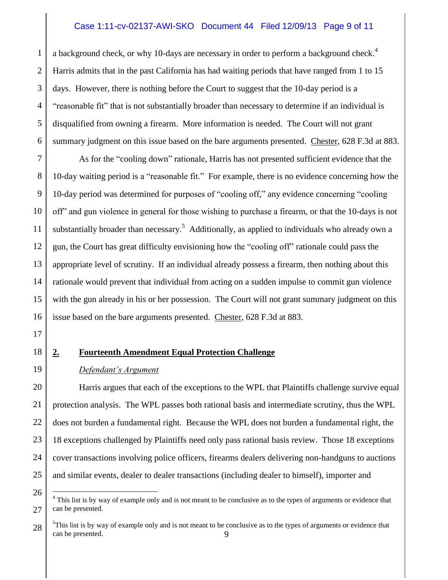## Case 1:11-cv-02137-AWI-SKO Document 44 Filed 12/09/13 Page 9 of 11

1 2 3 4 5 6 a background check, or why 10-days are necessary in order to perform a background check.<sup>4</sup> Harris admits that in the past California has had waiting periods that have ranged from 1 to 15 days. However, there is nothing before the Court to suggest that the 10-day period is a "reasonable fit" that is not substantially broader than necessary to determine if an individual is disqualified from owning a firearm. More information is needed. The Court will not grant summary judgment on this issue based on the bare arguments presented. Chester, 628 F.3d at 883.

7 8 9 10 11 12 13 14 15 16 As for the "cooling down" rationale, Harris has not presented sufficient evidence that the 10-day waiting period is a "reasonable fit." For example, there is no evidence concerning how the 10-day period was determined for purposes of "cooling off," any evidence concerning "cooling off" and gun violence in general for those wishing to purchase a firearm, or that the 10-days is not substantially broader than necessary.<sup>5</sup> Additionally, as applied to individuals who already own a gun, the Court has great difficulty envisioning how the "cooling off" rationale could pass the appropriate level of scrutiny. If an individual already possess a firearm, then nothing about this rationale would prevent that individual from acting on a sudden impulse to commit gun violence with the gun already in his or her possession. The Court will not grant summary judgment on this issue based on the bare arguments presented. Chester, 628 F.3d at 883.

- 17
- 18

19

26

 $\overline{a}$ 

#### **2. Fourteenth Amendment Equal Protection Challenge**

#### *Defendant's Argument*

20 21 22 23 24 25 Harris argues that each of the exceptions to the WPL that Plaintiffs challenge survive equal protection analysis. The WPL passes both rational basis and intermediate scrutiny, thus the WPL does not burden a fundamental right. Because the WPL does not burden a fundamental right, the 18 exceptions challenged by Plaintiffs need only pass rational basis review. Those 18 exceptions cover transactions involving police officers, firearms dealers delivering non-handguns to auctions and similar events, dealer to dealer transactions (including dealer to himself), importer and

<sup>27</sup> <sup>4</sup> This list is by way of example only and is not meant to be conclusive as to the types of arguments or evidence that can be presented.

<sup>28</sup> 9  $5$ This list is by way of example only and is not meant to be conclusive as to the types of arguments or evidence that can be presented.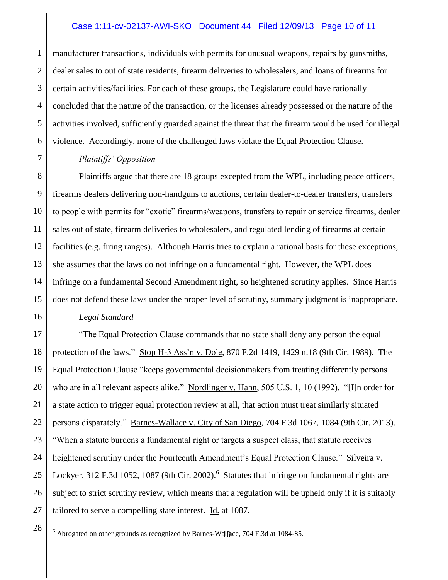## Case 1:11-cv-02137-AWI-SKO Document 44 Filed 12/09/13 Page 10 of 11

1 2 3 4 5 6 manufacturer transactions, individuals with permits for unusual weapons, repairs by gunsmiths, dealer sales to out of state residents, firearm deliveries to wholesalers, and loans of firearms for certain activities/facilities. For each of these groups, the Legislature could have rationally concluded that the nature of the transaction, or the licenses already possessed or the nature of the activities involved, sufficiently guarded against the threat that the firearm would be used for illegal violence. Accordingly, none of the challenged laws violate the Equal Protection Clause.

#### *Plaintiffs' Opposition*

7

16

8 9 10 11 12 13 14 15 Plaintiffs argue that there are 18 groups excepted from the WPL, including peace officers, firearms dealers delivering non-handguns to auctions, certain dealer-to-dealer transfers, transfers to people with permits for "exotic" firearms/weapons, transfers to repair or service firearms, dealer sales out of state, firearm deliveries to wholesalers, and regulated lending of firearms at certain facilities (e.g. firing ranges). Although Harris tries to explain a rational basis for these exceptions, she assumes that the laws do not infringe on a fundamental right. However, the WPL does infringe on a fundamental Second Amendment right, so heightened scrutiny applies. Since Harris does not defend these laws under the proper level of scrutiny, summary judgment is inappropriate.

## *Legal Standard*

17 18 19 20 21 22 23 24 25 26 27 "The Equal Protection Clause commands that no state shall deny any person the equal protection of the laws." Stop H-3 Ass'n v. Dole, 870 F.2d 1419, 1429 n.18 (9th Cir. 1989). The Equal Protection Clause "keeps governmental decisionmakers from treating differently persons who are in all relevant aspects alike." Nordlinger v. Hahn, 505 U.S. 1, 10 (1992). "[I]n order for a state action to trigger equal protection review at all, that action must treat similarly situated persons disparately." Barnes-Wallace v. City of San Diego, 704 F.3d 1067, 1084 (9th Cir. 2013). "When a statute burdens a fundamental right or targets a suspect class, that statute receives heightened scrutiny under the Fourteenth Amendment's Equal Protection Clause." Silveira v. Lockyer, 312 F.3d 1052, 1087 (9th Cir. 2002).<sup>6</sup> Statutes that infringe on fundamental rights are subject to strict scrutiny review, which means that a regulation will be upheld only if it is suitably tailored to serve a compelling state interest. Id. at 1087.

28

 $\overline{a}$ 

 $^6$  Abrogated on other grounds as recognized by **Barnes-Wallace**, 704 F.3d at 1084-85.